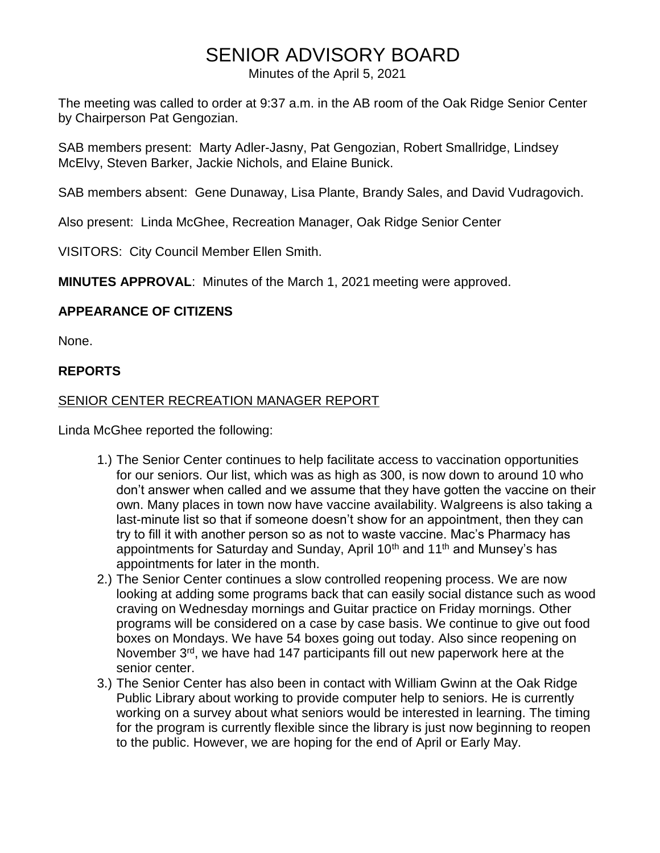# SENIOR ADVISORY BOARD

Minutes of the April 5, 2021

The meeting was called to order at 9:37 a.m. in the AB room of the Oak Ridge Senior Center by Chairperson Pat Gengozian.

SAB members present: Marty Adler-Jasny, Pat Gengozian, Robert Smallridge, Lindsey McElvy, Steven Barker, Jackie Nichols, and Elaine Bunick.

SAB members absent: Gene Dunaway, Lisa Plante, Brandy Sales, and David Vudragovich.

Also present: Linda McGhee, Recreation Manager, Oak Ridge Senior Center

VISITORS: City Council Member Ellen Smith.

**MINUTES APPROVAL**: Minutes of the March 1, 2021 meeting were approved.

# **APPEARANCE OF CITIZENS**

None.

#### **REPORTS**

# SENIOR CENTER RECREATION MANAGER REPORT

Linda McGhee reported the following:

- 1.) The Senior Center continues to help facilitate access to vaccination opportunities for our seniors. Our list, which was as high as 300, is now down to around 10 who don't answer when called and we assume that they have gotten the vaccine on their own. Many places in town now have vaccine availability. Walgreens is also taking a last-minute list so that if someone doesn't show for an appointment, then they can try to fill it with another person so as not to waste vaccine. Mac's Pharmacy has appointments for Saturday and Sunday, April 10<sup>th</sup> and 11<sup>th</sup> and Munsey's has appointments for later in the month.
- 2.) The Senior Center continues a slow controlled reopening process. We are now looking at adding some programs back that can easily social distance such as wood craving on Wednesday mornings and Guitar practice on Friday mornings. Other programs will be considered on a case by case basis. We continue to give out food boxes on Mondays. We have 54 boxes going out today. Also since reopening on November 3<sup>rd</sup>, we have had 147 participants fill out new paperwork here at the senior center.
- 3.) The Senior Center has also been in contact with William Gwinn at the Oak Ridge Public Library about working to provide computer help to seniors. He is currently working on a survey about what seniors would be interested in learning. The timing for the program is currently flexible since the library is just now beginning to reopen to the public. However, we are hoping for the end of April or Early May.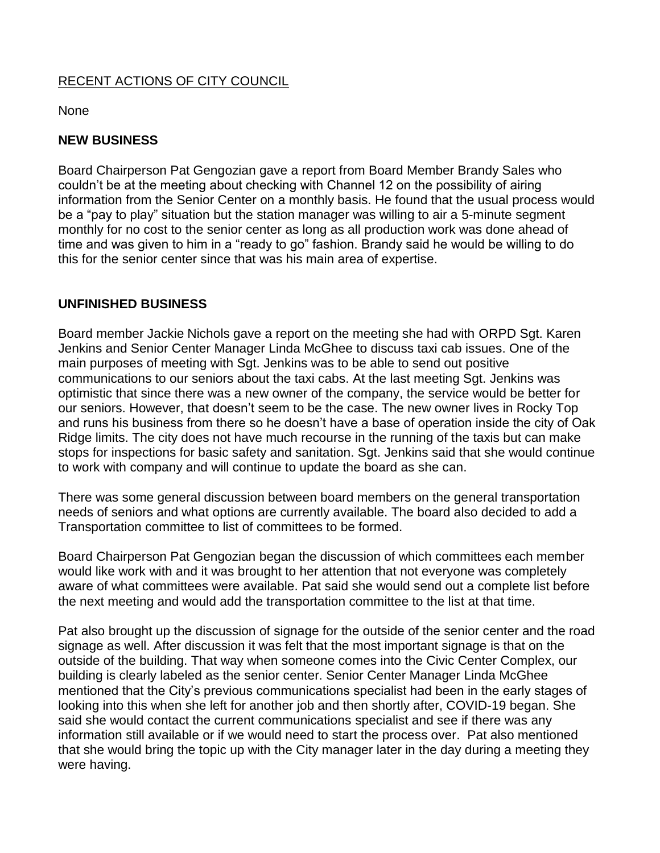# RECENT ACTIONS OF CITY COUNCIL

None

#### **NEW BUSINESS**

Board Chairperson Pat Gengozian gave a report from Board Member Brandy Sales who couldn't be at the meeting about checking with Channel 12 on the possibility of airing information from the Senior Center on a monthly basis. He found that the usual process would be a "pay to play" situation but the station manager was willing to air a 5-minute segment monthly for no cost to the senior center as long as all production work was done ahead of time and was given to him in a "ready to go" fashion. Brandy said he would be willing to do this for the senior center since that was his main area of expertise.

# **UNFINISHED BUSINESS**

Board member Jackie Nichols gave a report on the meeting she had with ORPD Sgt. Karen Jenkins and Senior Center Manager Linda McGhee to discuss taxi cab issues. One of the main purposes of meeting with Sgt. Jenkins was to be able to send out positive communications to our seniors about the taxi cabs. At the last meeting Sgt. Jenkins was optimistic that since there was a new owner of the company, the service would be better for our seniors. However, that doesn't seem to be the case. The new owner lives in Rocky Top and runs his business from there so he doesn't have a base of operation inside the city of Oak Ridge limits. The city does not have much recourse in the running of the taxis but can make stops for inspections for basic safety and sanitation. Sgt. Jenkins said that she would continue to work with company and will continue to update the board as she can.

There was some general discussion between board members on the general transportation needs of seniors and what options are currently available. The board also decided to add a Transportation committee to list of committees to be formed.

Board Chairperson Pat Gengozian began the discussion of which committees each member would like work with and it was brought to her attention that not everyone was completely aware of what committees were available. Pat said she would send out a complete list before the next meeting and would add the transportation committee to the list at that time.

Pat also brought up the discussion of signage for the outside of the senior center and the road signage as well. After discussion it was felt that the most important signage is that on the outside of the building. That way when someone comes into the Civic Center Complex, our building is clearly labeled as the senior center. Senior Center Manager Linda McGhee mentioned that the City's previous communications specialist had been in the early stages of looking into this when she left for another job and then shortly after, COVID-19 began. She said she would contact the current communications specialist and see if there was any information still available or if we would need to start the process over. Pat also mentioned that she would bring the topic up with the City manager later in the day during a meeting they were having.